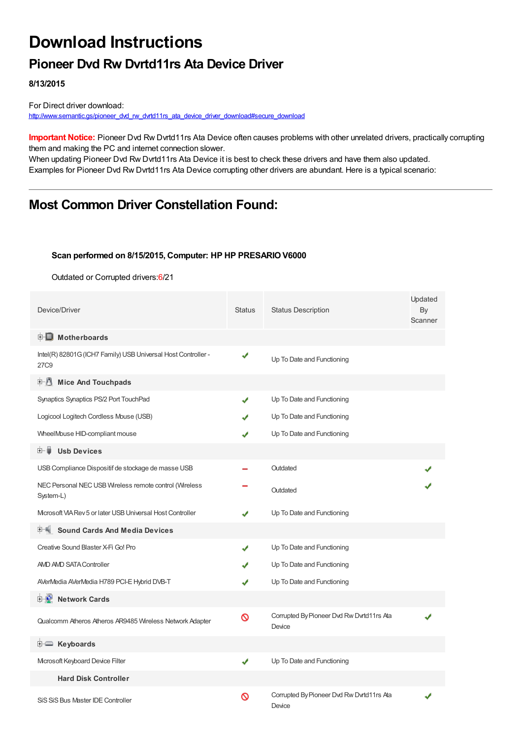# **Download Instructions**

#### **Pioneer Dvd Rw Dvrtd11rs Ata Device Driver**

**8/13/2015**

For Direct driver download: [http://www.semantic.gs/pioneer\\_dvd\\_rw\\_dvrtd11rs\\_ata\\_device\\_driver\\_download#secure\\_download](http://www.semantic.gs/pioneer_dvd_rw_dvrtd11rs_ata_device_driver_download#secure_download)

**Important Notice:** Pioneer Dvd Rw Dvrtd11rs Ata Device often causes problems with other unrelated drivers, practically corrupting them and making the PC and internet connection slower.

When updating Pioneer Dvd Rw Dvrtd11rs Ata Device it is best to check these drivers and have them also updated. Examples for Pioneer Dvd Rw Dvrtd11rs Ata Device corrupting other drivers are abundant. Here is a typical scenario:

#### **Most Common Driver Constellation Found:**

#### **Scan performed on 8/15/2015, Computer: HP HP PRESARIO V6000**

Outdated or Corrupted drivers:6/21

| Device/Driver                                                         | <b>Status</b> | <b>Status Description</b>                           | Updated<br>By<br>Scanner |
|-----------------------------------------------------------------------|---------------|-----------------------------------------------------|--------------------------|
| <b>E</b> Motherboards                                                 |               |                                                     |                          |
| Intel(R) 82801G (ICH7 Family) USB Universal Host Controller -<br>27C9 | ✔             | Up To Date and Functioning                          |                          |
| <b>E.</b> Mice And Touchpads                                          |               |                                                     |                          |
| Synaptics Synaptics PS/2 Port TouchPad                                | J             | Up To Date and Functioning                          |                          |
| Logicool Logitech Cordless Mouse (USB)                                |               | Up To Date and Functioning                          |                          |
| WheelMouse HID-compliant mouse                                        |               | Up To Date and Functioning                          |                          |
| <b>Usb Devices</b><br>⊞… ⊌                                            |               |                                                     |                          |
| USB Compliance Dispositif de stockage de masse USB                    |               | Outdated                                            |                          |
| NEC Personal NEC USB Wireless remote control (Wireless<br>System-L)   |               | Outdated                                            |                          |
| Microsoft VIA Rev 5 or later USB Universal Host Controller            |               | Up To Date and Functioning                          |                          |
| <b>Sound Cards And Media Devices</b>                                  |               |                                                     |                          |
| Creative Sound Blaster X-Fi Go! Pro                                   | J             | Up To Date and Functioning                          |                          |
| AMD AMD SATA Controller                                               |               | Up To Date and Functioning                          |                          |
| AVerMedia AVerMedia H789 PCI-E Hybrid DVB-T                           | ✔             | Up To Date and Functioning                          |                          |
| <b>Network Cards</b><br>⊞™≞™                                          |               |                                                     |                          |
| Qualcomm Atheros Atheros AR9485 Wireless Network Adapter              | 0             | Corrupted By Pioneer Dvd Rw Dvrtd11rs Ata<br>Device |                          |
| <b>E</b> Keyboards                                                    |               |                                                     |                          |
| Mcrosoft Keyboard Device Filter                                       | ✔             | Up To Date and Functioning                          |                          |
| <b>Hard Disk Controller</b>                                           |               |                                                     |                          |
| SiS SiS Bus Master IDE Controller                                     | ၹ             | Corrupted By Pioneer Dvd Rw Dvrtd11rs Ata<br>Device |                          |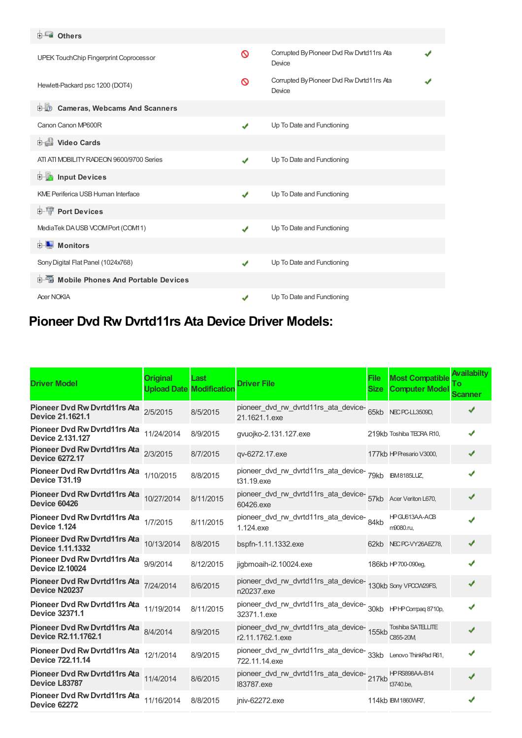### **Others**

| <b>UPEK TouchChip Fingerprint Coprocessor</b> | ∾                          | Corrupted By Pioneer Dvd Rw Dvrtd11rs Ata<br>Device |  |
|-----------------------------------------------|----------------------------|-----------------------------------------------------|--|
| Hewlett-Packard psc 1200 (DOT4)               | ∾                          | Corrupted By Pioneer Dvd Rw Dvrtd11rs Ata<br>Device |  |
| <b>D</b> Cameras, Webcams And Scanners        |                            |                                                     |  |
| Canon Canon MP600R                            | ✔                          | Up To Date and Functioning                          |  |
| Video Cards                                   |                            |                                                     |  |
| ATI ATI MOBILITY RADEON 9600/9700 Series      | ✔                          | Up To Date and Functioning                          |  |
| <b>Devices</b> Input Devices                  |                            |                                                     |  |
| <b>KME Periferica USB Human Interface</b>     | $\boldsymbol{J}$           | Up To Date and Functioning                          |  |
| <b>E-T</b> Port Devices                       |                            |                                                     |  |
| MediaTek DAUSB VCOMPort (COM11)               | ✔                          | Up To Date and Functioning                          |  |
| Monitors<br>中山                                |                            |                                                     |  |
| Sony Digital Flat Panel (1024x768)            | $\boldsymbol{\mathcal{J}}$ | Up To Date and Functioning                          |  |
| <b>E-6</b> Mobile Phones And Portable Devices |                            |                                                     |  |
| <b>Acer NOKIA</b>                             |                            | Up To Date and Functioning                          |  |

## **Pioneer Dvd Rw Dvrtd11rs Ata Device Driver Models:**

| <b>Driver Model</b>                                            | <b>Original</b> | Last<br><b>Upload Date Modification</b> | <b>Driver File</b>                                                                 | <b>File</b><br><b>Size</b> | <b>Most Compatible</b><br><b>Computer Model</b> | <b>Availabilty</b><br>Τо<br>Scanner |
|----------------------------------------------------------------|-----------------|-----------------------------------------|------------------------------------------------------------------------------------|----------------------------|-------------------------------------------------|-------------------------------------|
| Pioneer Dvd Rw Dvrtd11rs Ata<br>Device 21.1621.1               | 2/5/2015        | 8/5/2015                                | pioneer_dvd_rw_dvrtd11rs_ata_device-<br>21.1621.1.exe                              |                            | 65kb NECPC-LL3509D,                             |                                     |
| <b>Pioneer Dvd Rw Dvrtd11rs Ata</b><br><b>Device 2.131.127</b> | 11/24/2014      | 8/9/2015                                | qvuojko-2.131.127.exe                                                              |                            | 219kb Toshiba TECRA R10,                        | ✔                                   |
| <b>Pioneer Dvd Rw Dvrtd11rs Ata</b><br><b>Device 6272.17</b>   | 2/3/2015        | 8/7/2015                                | qv-6272.17.exe                                                                     |                            | 177kb HP Presario V3000,                        | ✔                                   |
| Pioneer Dvd Rw Dvrtd11rs Ata<br>Device T31.19                  | 1/10/2015       | 8/8/2015                                | pioneer_dvd_rw_dvrtd11rs_ata_device-<br>79kb BM8185LUZ,<br>t31.19.exe              |                            |                                                 |                                     |
| Pioneer Dvd Rw Dvrtd11rs Ata 10/27/2014<br>Device 60426        |                 | 8/11/2015                               | pioneer_dvd_rw_dvrtd11rs_ata_device-<br>57kb Acer Veriton L670,<br>60426.exe       |                            |                                                 |                                     |
| Pioneer Dvd Rw Dvrtd11rs Ata 1/7/2015<br>Device 1.124          |                 | 8/11/2015                               | pioneer_dvd_rw_dvrtd11rs_ata_device-84kb<br>1.124, exe                             |                            | HPGU613AA-ACB<br>m9080.ru.                      |                                     |
| <b>Pioneer Dvd Rw Dvrtd11rs Ata</b><br><b>Device 1.11.1332</b> | 10/13/2014      | 8/8/2015                                | bspfn-1.11.1332.exe                                                                |                            | 62kb NECPC-VY26AEZ78,                           |                                     |
| Pioneer Dvd Rw Dvrtd11rs Ata<br><b>Device I2.10024</b>         | 9/9/2014        | 8/12/2015                               | jigbmoaih-i2.10024.exe                                                             |                            | 186kb HP 700-090eg,                             |                                     |
| Pioneer Dvd Rw Dvrtd11rs Ata<br>Device N20237                  | 7/24/2014       | 8/6/2015                                | pioneer_dvd_rw_dvrtd11rs_ata_device-<br>130kb Sony VPOOW29FS,<br>n20237.exe        |                            |                                                 |                                     |
| Pioneer Dvd Rw Dvrtd11rs Ata<br>Device 32371.1                 | 11/19/2014      | 8/11/2015                               | 32371.1.exe                                                                        |                            |                                                 |                                     |
| Pioneer Dvd Rw Dvrtd11rs Ata<br>Device R2.11.1762.1            | 8/4/2014        | 8/9/2015                                | r2.11.1762.1.exe                                                                   |                            | C855-20M                                        |                                     |
| Pioneer Dvd Rw Dvrtd11rs Ata<br>Device 722.11.14               | 12/1/2014       | 8/9/2015                                | pioneer_dvd_rw_dvrtd11rs_ata_device-<br>33kb Lenovo ThinkPad R61,<br>722.11.14.exe |                            |                                                 |                                     |
| Pioneer Dvd Rw Dvrtd11rs Ata 11/4/2014<br>Device L83787        |                 | 8/6/2015                                | 183787.exe                                                                         |                            | t3740.be.                                       |                                     |
| Pioneer Dvd Rw Dvrtd11rs Ata<br><b>Device 62272</b>            | 11/16/2014      | 8/8/2015                                | jniv-62272.exe                                                                     |                            | 114kb IBM 1860WR7,                              |                                     |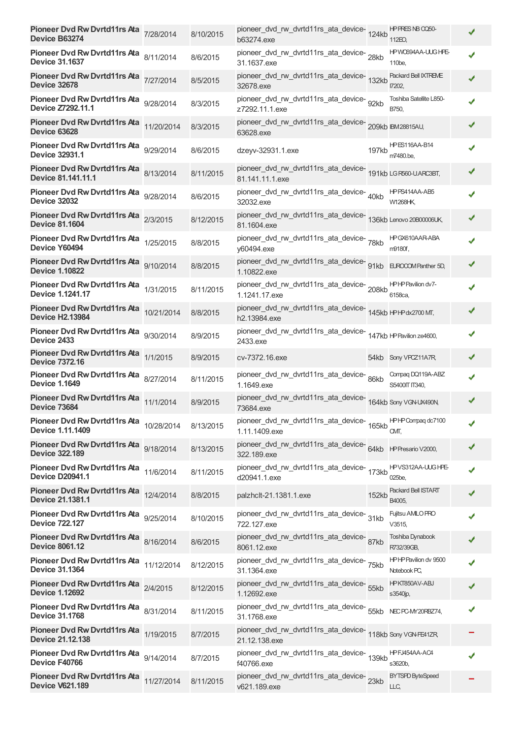| Pioneer Dvd Rw Dvrtd11rs Ata 7/28/2014<br>Device B63274           |            | 8/10/2015 | pioneer_dvd_rw_dvrtd11rs_ata_device-124kb<br>b63274.exe                          |       | HP PRES NB 0050-<br>112EO.            |   |
|-------------------------------------------------------------------|------------|-----------|----------------------------------------------------------------------------------|-------|---------------------------------------|---|
| Pioneer Dvd Rw Dvrtd11rs Ata 8/11/2014<br><b>Device 31.1637</b>   |            | 8/6/2015  | pioneer_dvd_rw_dvrtd11rs_ata_device-28kb<br>31.1637.exe                          |       | HPW0694AA-UUG HPE-<br>110be,          |   |
| Pioneer Dvd Rw Dvrtd11rs Ata<br><b>Device 32678</b>               | 7/27/2014  | 8/5/2015  | pioneer_dvd_rw_dvrtd11rs_ata_device-<br>132kb<br>32678.exe                       |       | Packard Bell IXTREME<br>17202.        |   |
| <b>Pioneer Dvd Rw Dvrtd11rs Ata</b><br>Device Z7292.11.1          | 9/28/2014  | 8/3/2015  | pioneer_dvd_rw_dvrtd11rs_ata_device- 92kb<br>z7292.11.1.exe                      |       | Toshiba Satellite L850-<br>B750,      |   |
| Pioneer Dvd Rw Dvrtd11rs Ata<br><b>Device 63628</b>               | 11/20/2014 | 8/3/2015  | pioneer_dvd_rw_dvrtd11rs_ata_device-209kb IBM28815AU,<br>63628.exe               |       |                                       |   |
| Pioneer Dvd Rw Dvrtd11rs Ata 9/29/2014<br><b>Device 32931.1</b>   |            | 8/6/2015  | dzeyv-32931.1.exe                                                                | 197kb | <b>HPES116AA-B14</b><br>m7480.be.     |   |
| Pioneer Dvd Rw Dvrtd11rs Ata 8/13/2014<br>Device 81.141.11.1      |            | 8/11/2015 | pioneer_dvd_rw_dvrtd11rs_ata_device-<br>191kb LGR560-UARC3BT,<br>81.141.11.1.exe |       |                                       |   |
| Pioneer Dvd Rw Dvrtd11rs Ata 9/28/2014<br><b>Device 32032</b>     |            | 8/6/2015  | pioneer_dvd_rw_dvrtd11rs_ata_device-40kb<br>32032.exe                            |       | HPPS414AA-AB5<br>W1268HK              |   |
| Pioneer Dvd Rw Dvrtd11rs Ata 2/3/2015<br><b>Device 81.1604</b>    |            | 8/12/2015 | pioneer_dvd_rw_dvrtd11rs_ata_device-<br>136kb Lenovo 20B00006UK,<br>81.1604.exe  |       |                                       |   |
| Pioneer Dvd Rw Dvrtd11rs Ata<br>Device Y60494                     | 1/25/2015  | 8/8/2015  | pioneer_dvd_rw_dvrtd11rs_ata_device-78kb<br>y60494.exe                           |       | HPGX610AAR-ABA<br>m9180f,             |   |
| Pioneer Dvd Rw Dvrtd11rs Ata 9/10/2014<br><b>Device 1.10822</b>   |            | 8/8/2015  | pioneer_dvd_rw_dvrtd11rs_ata_device-<br>91kb<br>1.10822.exe                      |       | EUROCOM Panther 5D,                   |   |
| Pioneer Dvd Rw Dvrtd11rs Ata 1/31/2015<br>Device 1.1241.17        |            | 8/11/2015 | pioneer_dvd_rw_dvrtd11rs_ata_device-208kb<br>1.1241.17.exe                       |       | HPHP Pavilion dv7-<br>6158ca,         |   |
| Pioneer Dvd Rw Dvrtd11rs Ata 10/21/2014<br><b>Device H2.13984</b> |            | 8/8/2015  | pioneer_dvd_rw_dvrtd11rs_ata_device-<br>145kb HPHPdx2700 MT,<br>h2.13984.exe     |       |                                       |   |
| Pioneer Dvd Rw Dvrtd11rs Ata<br>Device 2433                       | 9/30/2014  | 8/9/2015  | pioneer_dvd_rw_dvrtd11rs_ata_device-<br>147kb HPPavilion ze4600,<br>2433.exe     |       |                                       |   |
| Pioneer Dvd Rw Dvrtd11rs Ata 1/1/2015<br><b>Device 7372.16</b>    |            | 8/9/2015  | cv-7372.16.exe                                                                   |       | 54kb Sony VPCZ11A7R,                  |   |
| Pioneer Dvd Rw Dvrtd11rs Ata 8/27/2014<br><b>Device 1.1649</b>    |            | 8/11/2015 | pioneer_dvd_rw_dvrtd11rs_ata_device-86kb<br>1.1649.exe                           |       | Compaq DQ119A-ABZ<br>S5400IT IT340,   |   |
| Pioneer Dvd Rw Dvrtd11rs Ata 11/1/2014<br>Device 73684            |            | 8/9/2015  | pioneer_dvd_rw_dvrtd11rs_ata_device-<br>164kb Sony VGN-UX490N<br>73684.exe       |       |                                       |   |
| <b>Pioneer Dvd Rw Dvrtd11rs Ata</b><br>Device 1.11.1409           | 10/28/2014 | 8/13/2015 | pioneer_dvd_rw_dvrtd11rs_ata_device-<br>165kb<br>1.11.1409.exe                   |       | HPHPCompag dc7100<br>CMT.             |   |
| Pioneer Dvd Rw Dvrtd11rs Ata<br><b>Device 322.189</b>             | 9/18/2014  | 8/13/2015 | pioneer_dvd_rw_dvrtd11rs_ata_device-64kb<br>322.189.exe                          |       | HP Presario V2000,                    | ✔ |
| Pioneer Dvd Rw Dvrtd11rs Ata<br><b>Device D20941.1</b>            | 11/6/2014  | 8/11/2015 | pioneer_dvd_rw_dvrtd11rs_ata_device-<br>173kb<br>d20941.1.exe                    |       | HPVS312AA-UUG HPE-<br>025be.          |   |
| Pioneer Dvd Rw Dvrtd11rs Ata<br>Device 21.1381.1                  | 12/4/2014  | 8/8/2015  | palzhclt-21.1381.1.exe                                                           | 152kb | Packard Bell ISTART<br>B4005,         |   |
| Pioneer Dvd Rw Dvrtd11rs Ata<br><b>Device 722.127</b>             | 9/25/2014  | 8/10/2015 | pioneer_dvd_rw_dvrtd11rs_ata_device-<br>31kb<br>722.127.exe                      |       | Fujitsu AMLO PRO<br>V3515,            |   |
| Pioneer Dvd Rw Dvrtd11rs Ata 8/16/2014<br><b>Device 8061.12</b>   |            | 8/6/2015  | pioneer_dvd_rw_dvrtd11rs_ata_device-87kb<br>8061.12.exe                          |       | Toshiba Dynabook<br>R732/39GB,        |   |
| Pioneer Dvd Rw Dvrtd11rs Ata<br><b>Device 31.1364</b>             | 11/12/2014 | 8/12/2015 | pioneer_dvd_rw_dvrtd11rs_ata_device-75kb<br>31.1364.exe                          |       | HPHP Pavilion dv 9500<br>Notebook PC, |   |
| Pioneer Dvd Rw Dvrtd11rs Ata<br><b>Device 1.12692</b>             | 2/4/2015   | 8/12/2015 | pioneer_dvd_rw_dvrtd11rs_ata_device-<br>55kb<br>1.12692.exe                      |       | <b>HPKT850AV-ABJ</b><br>s3540jp,      |   |
| Pioneer Dvd Rw Dvrtd11rs Ata<br><b>Device 31.1768</b>             | 8/31/2014  | 8/11/2015 | pioneer_dvd_rw_dvrtd11rs_ata_device-<br>55kb<br>31.1768.exe                      |       | NEC PC-MY20RBZ74,                     |   |
| Pioneer Dvd Rw Dvrtd11rs Ata<br><b>Device 21.12.138</b>           | 1/19/2015  | 8/7/2015  | pioneer_dvd_rw_dvrtd11rs_ata_device-118kb Sony VGNFE41ZR<br>21.12.138.exe        |       |                                       |   |
| Pioneer Dvd Rw Dvrtd11rs Ata 9/14/2014<br>Device F40766           |            | 8/7/2015  | pioneer_dvd_rw_dvrtd11rs_ata_device-<br>139kb<br>f40766.exe                      |       | HPFJ454AA-AC4<br>s3620b,              |   |
| Pioneer Dvd Rw Dvrtd11rs Ata 11/27/2014<br><b>Device V621.189</b> |            | 8/11/2015 | pioneer_dvd_rw_dvrtd11rs_ata_device-23kb<br>v621.189.exe                         |       | <b>BYTSPD ByteSpeed</b><br>LLC,       |   |